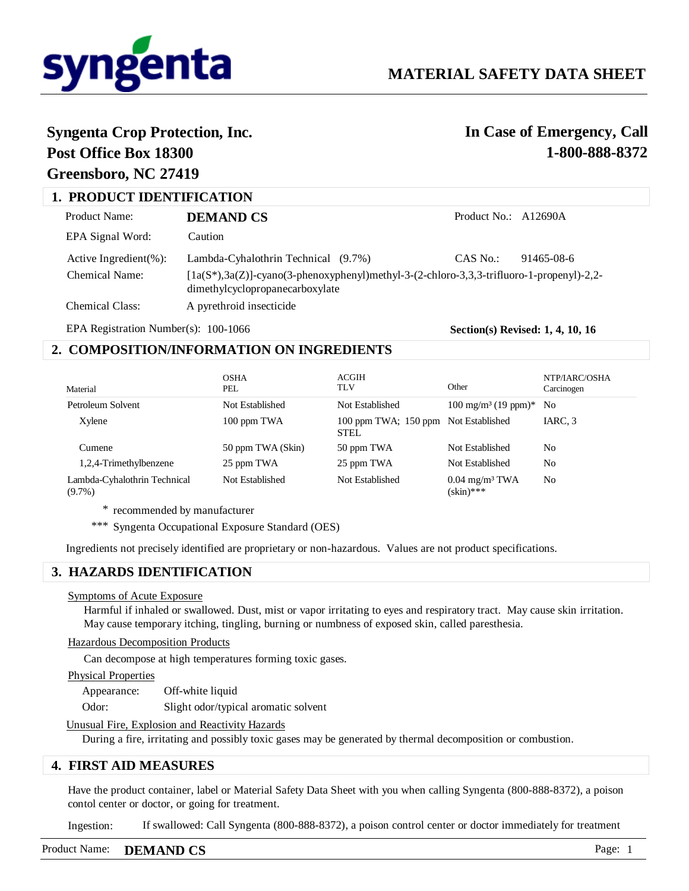

# **Syngenta Crop Protection, Inc.**

## **Post Office Box 18300 Greensboro, NC 27419**

# **In Case of Emergency, Call 1-800-888-8372**

| <b>1. PRODUCT IDENTIFICATION</b> |                                                                                                                                 |                      |            |  |  |
|----------------------------------|---------------------------------------------------------------------------------------------------------------------------------|----------------------|------------|--|--|
| Product Name:                    | DEMAND CS                                                                                                                       | Product No.: A12690A |            |  |  |
| EPA Signal Word:                 | Caution                                                                                                                         |                      |            |  |  |
| Active Ingredient $(\% )$ :      | Lambda-Cyhalothrin Technical (9.7%)                                                                                             | CAS No.:             | 91465-08-6 |  |  |
| Chemical Name:                   | $[1a(S^*),3a(Z)]$ -cyano(3-phenoxyphenyl)methyl-3-(2-chloro-3,3,3-trifluoro-1-propenyl)-2,2-<br>dimethylcyclopropanecarboxylate |                      |            |  |  |
| Chemical Class:                  | A pyrethroid insecticide                                                                                                        |                      |            |  |  |

EPA Registration Number(s): 100-1066

**Section(s) Revised: 1, 4, 10, 16**

### **2. COMPOSITION/INFORMATION ON INGREDIENTS**

| Material                                  | <b>OSHA</b><br>PEL | ACGIH<br>TLV                                        | Other                                        | NTP/IARC/OSHA<br>Carcinogen |
|-------------------------------------------|--------------------|-----------------------------------------------------|----------------------------------------------|-----------------------------|
| Petroleum Solvent                         | Not Established    | Not Established                                     | $100 \text{ mg/m}^3$ (19 ppm)*               | N <sub>0</sub>              |
| Xylene                                    | 100 ppm TWA        | 100 ppm TWA; 150 ppm Not Established<br><b>STEL</b> |                                              | IARC, 3                     |
| Cumene                                    | 50 ppm TWA (Skin)  | 50 ppm TWA                                          | Not Established                              | No                          |
| 1,2,4-Trimethylbenzene                    | 25 ppm TWA         | 25 ppm TWA                                          | Not Established                              | No                          |
| Lambda-Cyhalothrin Technical<br>$(9.7\%)$ | Not Established    | Not Established                                     | $0.04$ mg/m <sup>3</sup> TWA<br>$(\sin)$ *** | No                          |

\* recommended by manufacturer

\*\*\* Syngenta Occupational Exposure Standard (OES)

Ingredients not precisely identified are proprietary or non-hazardous. Values are not product specifications.

### **3. HAZARDS IDENTIFICATION**

### Symptoms of Acute Exposure

Harmful if inhaled or swallowed. Dust, mist or vapor irritating to eyes and respiratory tract. May cause skin irritation. May cause temporary itching, tingling, burning or numbness of exposed skin, called paresthesia.

### Hazardous Decomposition Products

Can decompose at high temperatures forming toxic gases.

#### Physical Properties

Appearance: Off-white liquid

Odor: Slight odor/typical aromatic solvent

### Unusual Fire, Explosion and Reactivity Hazards

During a fire, irritating and possibly toxic gases may be generated by thermal decomposition or combustion.

### **4. FIRST AID MEASURES**

Have the product container, label or Material Safety Data Sheet with you when calling Syngenta (800-888-8372), a poison contol center or doctor, or going for treatment.

If swallowed: Call Syngenta (800-888-8372), a poison control center or doctor immediately for treatment Ingestion:

### Product Name: **DEMAND CS** Page: 1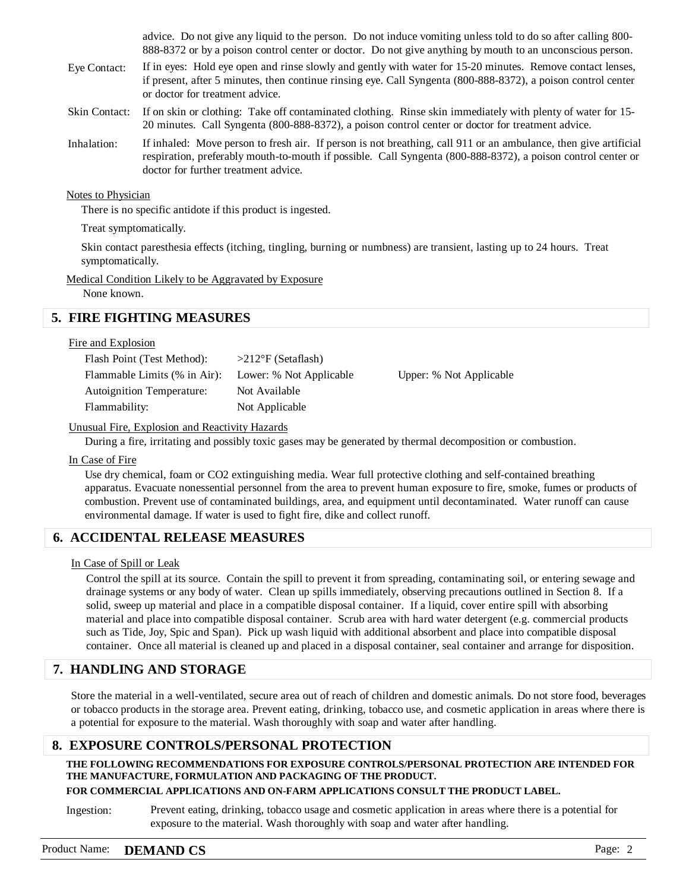advice. Do not give any liquid to the person. Do not induce vomiting unless told to do so after calling 800- 888-8372 or by a poison control center or doctor. Do not give anything by mouth to an unconscious person.

- If in eyes: Hold eye open and rinse slowly and gently with water for 15-20 minutes. Remove contact lenses, if present, after 5 minutes, then continue rinsing eye. Call Syngenta (800-888-8372), a poison control center or doctor for treatment advice. Eye Contact:
- If on skin or clothing: Take off contaminated clothing. Rinse skin immediately with plenty of water for 15- 20 minutes. Call Syngenta (800-888-8372), a poison control center or doctor for treatment advice. Skin Contact:
- If inhaled: Move person to fresh air. If person is not breathing, call 911 or an ambulance, then give artificial respiration, preferably mouth-to-mouth if possible. Call Syngenta (800-888-8372), a poison control center or doctor for further treatment advice. Inhalation:

### Notes to Physician

There is no specific antidote if this product is ingested.

### Treat symptomatically.

Skin contact paresthesia effects (itching, tingling, burning or numbness) are transient, lasting up to 24 hours. Treat symptomatically.

### Medical Condition Likely to be Aggravated by Exposure

None known.

### **5. FIRE FIGHTING MEASURES**

### Fire and Explosion

| $>212^{\circ}$ F (Setaflash)                            |                         |
|---------------------------------------------------------|-------------------------|
| Flammable Limits (% in Air):<br>Lower: % Not Applicable | Upper: % Not Applicable |
| Not Available                                           |                         |
| Not Applicable                                          |                         |
|                                                         |                         |

### Unusual Fire, Explosion and Reactivity Hazards

During a fire, irritating and possibly toxic gases may be generated by thermal decomposition or combustion.

### In Case of Fire

Use dry chemical, foam or CO2 extinguishing media. Wear full protective clothing and self-contained breathing apparatus. Evacuate nonessential personnel from the area to prevent human exposure to fire, smoke, fumes or products of combustion. Prevent use of contaminated buildings, area, and equipment until decontaminated. Water runoff can cause environmental damage. If water is used to fight fire, dike and collect runoff.

### **6. ACCIDENTAL RELEASE MEASURES**

### In Case of Spill or Leak

Control the spill at its source. Contain the spill to prevent it from spreading, contaminating soil, or entering sewage and drainage systems or any body of water. Clean up spills immediately, observing precautions outlined in Section 8. If a solid, sweep up material and place in a compatible disposal container. If a liquid, cover entire spill with absorbing material and place into compatible disposal container. Scrub area with hard water detergent (e.g. commercial products such as Tide, Joy, Spic and Span). Pick up wash liquid with additional absorbent and place into compatible disposal container. Once all material is cleaned up and placed in a disposal container, seal container and arrange for disposition.

### **7. HANDLING AND STORAGE**

Store the material in a well-ventilated, secure area out of reach of children and domestic animals. Do not store food, beverages or tobacco products in the storage area. Prevent eating, drinking, tobacco use, and cosmetic application in areas where there is a potential for exposure to the material. Wash thoroughly with soap and water after handling.

### **8. EXPOSURE CONTROLS/PERSONAL PROTECTION**

**THE FOLLOWING RECOMMENDATIONS FOR EXPOSURE CONTROLS/PERSONAL PROTECTION ARE INTENDED FOR THE MANUFACTURE, FORMULATION AND PACKAGING OF THE PRODUCT.** 

### **FOR COMMERCIAL APPLICATIONS AND ON-FARM APPLICATIONS CONSULT THE PRODUCT LABEL.**

Prevent eating, drinking, tobacco usage and cosmetic application in areas where there is a potential for exposure to the material. Wash thoroughly with soap and water after handling. Ingestion:

### Product Name: **DEMAND CS** Page: 2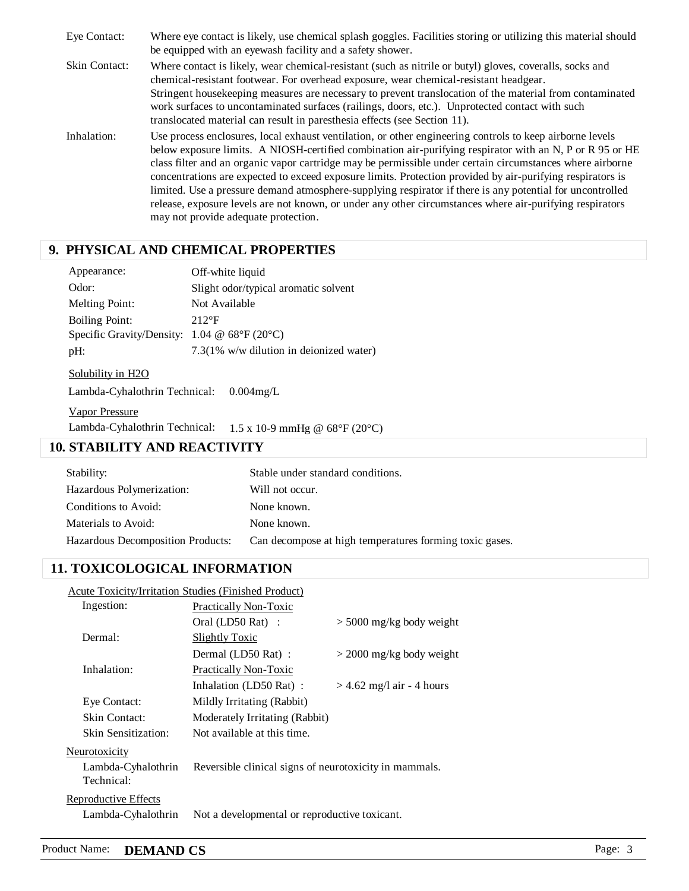Where eye contact is likely, use chemical splash goggles. Facilities storing or utilizing this material should be equipped with an eyewash facility and a safety shower. Where contact is likely, wear chemical-resistant (such as nitrile or butyl) gloves, coveralls, socks and chemical-resistant footwear. For overhead exposure, wear chemical-resistant headgear. Stringent housekeeping measures are necessary to prevent translocation of the material from contaminated work surfaces to uncontaminated surfaces (railings, doors, etc.). Unprotected contact with such translocated material can result in paresthesia effects (see Section 11). Use process enclosures, local exhaust ventilation, or other engineering controls to keep airborne levels below exposure limits. A NIOSH-certified combination air-purifying respirator with an N, P or R 95 or HE class filter and an organic vapor cartridge may be permissible under certain circumstances where airborne concentrations are expected to exceed exposure limits. Protection provided by air-purifying respirators is limited. Use a pressure demand atmosphere-supplying respirator if there is any potential for uncontrolled release, exposure levels are not known, or under any other circumstances where air-purifying respirators may not provide adequate protection. Eye Contact: Skin Contact: Inhalation:

### **9. PHYSICAL AND CHEMICAL PROPERTIES**

| Appearance:                                                  | Off-white liquid                        |  |  |  |
|--------------------------------------------------------------|-----------------------------------------|--|--|--|
| Odor:                                                        | Slight odor/typical aromatic solvent    |  |  |  |
| <b>Melting Point:</b>                                        | Not Available                           |  |  |  |
| <b>Boiling Point:</b>                                        | $212$ °F                                |  |  |  |
| Specific Gravity/Density: $1.04 \& 68^{\circ}F(20^{\circ}C)$ |                                         |  |  |  |
| pH:                                                          | 7.3(1% w/w dilution in deionized water) |  |  |  |
| Solubility in H <sub>2</sub> O                               |                                         |  |  |  |
| Lambda-Cyhalothrin Technical:<br>$0.004$ mg/L                |                                         |  |  |  |
| TT T                                                         |                                         |  |  |  |

Vapor Pressure Lambda-Cyhalothrin Technical: 1.5 x 10-9 mmHg @ 68°F (20°C)

### **10. STABILITY AND REACTIVITY**

| Stability:                        | Stable under standard conditions.                       |
|-----------------------------------|---------------------------------------------------------|
| Hazardous Polymerization:         | Will not occur.                                         |
| Conditions to Avoid:              | None known.                                             |
| Materials to Avoid:               | None known.                                             |
| Hazardous Decomposition Products: | Can decompose at high temperatures forming toxic gases. |

### **11. TOXICOLOGICAL INFORMATION**

| Acute Toxicity/Irritation Studies (Finished Product) |                                                        |                             |  |  |  |
|------------------------------------------------------|--------------------------------------------------------|-----------------------------|--|--|--|
| Ingestion:                                           | Practically Non-Toxic                                  |                             |  |  |  |
|                                                      | Oral (LD50 Rat):                                       | $>$ 5000 mg/kg body weight  |  |  |  |
| Dermal:                                              | Slightly Toxic                                         |                             |  |  |  |
|                                                      | Dermal (LD50 Rat):                                     | $>$ 2000 mg/kg body weight  |  |  |  |
| Inhalation:                                          | Practically Non-Toxic                                  |                             |  |  |  |
|                                                      | Inhalation (LD50 Rat):                                 | $>$ 4.62 mg/l air - 4 hours |  |  |  |
| Eye Contact:                                         | Mildly Irritating (Rabbit)                             |                             |  |  |  |
| Skin Contact:                                        | Moderately Irritating (Rabbit)                         |                             |  |  |  |
| Skin Sensitization:                                  | Not available at this time.                            |                             |  |  |  |
| Neurotoxicity<br>Lambda-Cyhalothrin<br>Technical:    | Reversible clinical signs of neurotoxicity in mammals. |                             |  |  |  |

### Reproductive Effects

Lambda-Cyhalothrin Not a developmental or reproductive toxicant.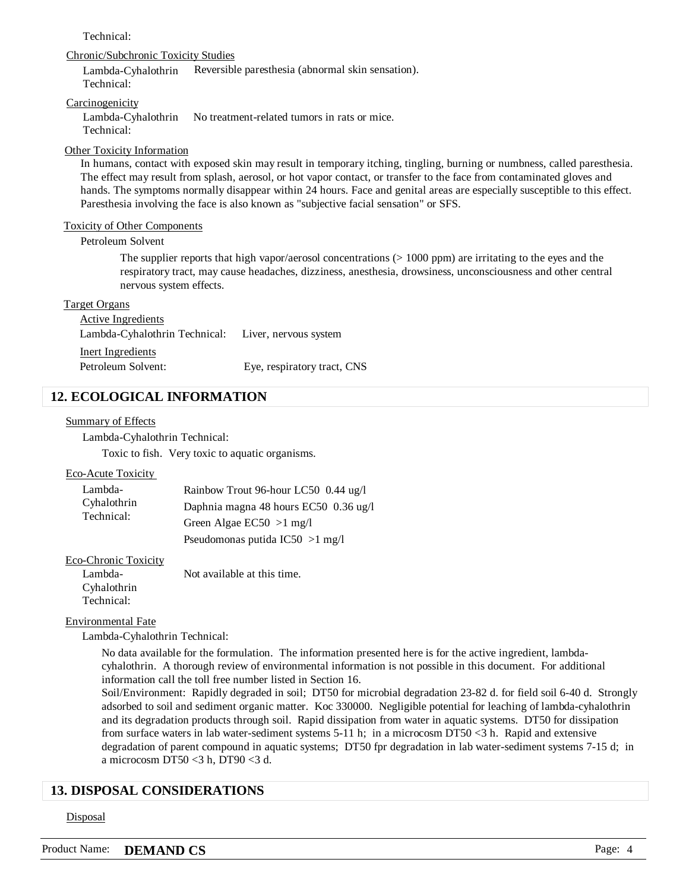### Technical:

#### Chronic/Subchronic Toxicity Studies

Lambda-Cyhalothrin Technical: Reversible paresthesia (abnormal skin sensation).

#### **Carcinogenicity**

Lambda-Cyhalothrin Technical: No treatment-related tumors in rats or mice.

### Other Toxicity Information

In humans, contact with exposed skin may result in temporary itching, tingling, burning or numbness, called paresthesia. The effect may result from splash, aerosol, or hot vapor contact, or transfer to the face from contaminated gloves and hands. The symptoms normally disappear within 24 hours. Face and genital areas are especially susceptible to this effect. Paresthesia involving the face is also known as "subjective facial sensation" or SFS.

#### Toxicity of Other Components

### Petroleum Solvent

The supplier reports that high vapor/aerosol concentrations  $(> 1000$  ppm) are irritating to the eyes and the respiratory tract, may cause headaches, dizziness, anesthesia, drowsiness, unconsciousness and other central nervous system effects.

#### Target Organs

Active Ingredients Inert Ingredients Lambda-Cyhalothrin Technical: Liver, nervous system Petroleum Solvent: Eye, respiratory tract, CNS

### **12. ECOLOGICAL INFORMATION**

#### Summary of Effects

Lambda-Cyhalothrin Technical:

Toxic to fish. Very toxic to aquatic organisms.

#### Eco-Acute Toxicity

| Lambda-<br>Cyhalothrin<br>Technical: | Rainbow Trout 96-hour LC50 0.44 ug/l  |  |
|--------------------------------------|---------------------------------------|--|
|                                      | Daphnia magna 48 hours EC50 0.36 ug/l |  |
|                                      | Green Algae $EC50 > 1$ mg/l           |  |
|                                      | Pseudomonas putida IC50 $>1$ mg/l     |  |

Eco-Chronic Toxicity

Lambda-Cyhalothrin Technical: Not available at this time.

#### Environmental Fate

Lambda-Cyhalothrin Technical:

No data available for the formulation. The information presented here is for the active ingredient, lambdacyhalothrin. A thorough review of environmental information is not possible in this document. For additional information call the toll free number listed in Section 16.

Soil/Environment: Rapidly degraded in soil; DT50 for microbial degradation 23-82 d. for field soil 6-40 d. Strongly adsorbed to soil and sediment organic matter. Koc 330000. Negligible potential for leaching of lambda-cyhalothrin and its degradation products through soil. Rapid dissipation from water in aquatic systems. DT50 for dissipation from surface waters in lab water-sediment systems 5-11 h; in a microcosm DT50 <3 h. Rapid and extensive degradation of parent compound in aquatic systems; DT50 fpr degradation in lab water-sediment systems 7-15 d; in a microcosm DT50 <3 h, DT90 <3 d.

### **13. DISPOSAL CONSIDERATIONS**

#### **Disposal**